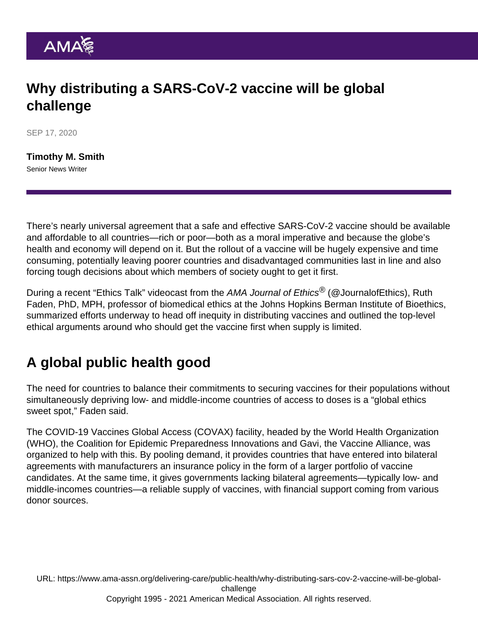## Why distributing a SARS-CoV-2 vaccine will be global challenge

SEP 17, 2020

[Timothy M. Smith](https://www.ama-assn.org/news-leadership-viewpoints/authors-news-leadership-viewpoints/timothy-m-smith) Senior News Writer

There's nearly universal agreement that a safe and effective SARS-CoV-2 vaccine should be available and affordable to all countries—rich or poor—both as a moral imperative and because the globe's health and economy will depend on it. But the rollout of a vaccine will be hugely expensive and time consuming, potentially leaving poorer countries and disadvantaged communities last in line and also forcing tough decisions about which members of society ought to get it first.

During a recent ["Ethics Talk" videocast](https://journalofethics.ama-assn.org/videocast/ethics-talk-equitable-allocation-sars-cov-2-vaccine) from the AMA Journal of Ethics<sup>®</sup> [\(@JournalofEthics](https://twitter.com/JournalOfEthics)), Ruth Faden, PhD, MPH, professor of biomedical ethics at the Johns Hopkins Berman Institute of Bioethics, summarized efforts underway to head off inequity in distributing vaccines and outlined the top-level ethical arguments around who should get the vaccine first when supply is limited.

## A global public health good

The need for countries to balance their commitments to securing vaccines for their populations without simultaneously depriving low- and middle-income countries of access to doses is a "global ethics sweet spot," Faden said.

The COVID-19 Vaccines Global Access (COVAX) facility, headed by the World Health Organization (WHO), the Coalition for Epidemic Preparedness Innovations and Gavi, the Vaccine Alliance, was organized to help with this. By pooling demand, it provides countries that have entered into bilateral agreements with manufacturers an insurance policy in the form of a larger portfolio of vaccine candidates. At the same time, it gives governments lacking bilateral agreements—typically low- and middle-incomes countries—a reliable supply of vaccines, with financial support coming from various donor sources.

URL: [https://www.ama-assn.org/delivering-care/public-health/why-distributing-sars-cov-2-vaccine-will-be-global](https://www.ama-assn.org/delivering-care/public-health/why-distributing-sars-cov-2-vaccine-will-be-global-challenge)[challenge](https://www.ama-assn.org/delivering-care/public-health/why-distributing-sars-cov-2-vaccine-will-be-global-challenge) Copyright 1995 - 2021 American Medical Association. All rights reserved.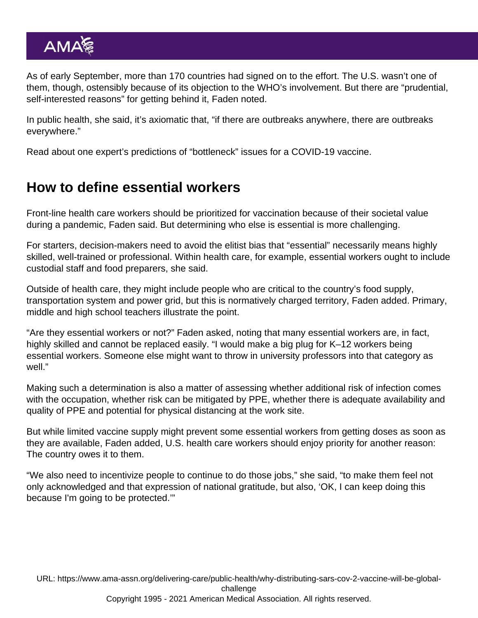As of early September, more than 170 countries had signed on to the effort. The U.S. wasn't one of them, though, ostensibly because of its objection to the WHO's involvement. But there are "prudential, self-interested reasons" for getting behind it, Faden noted.

In public health, she said, it's axiomatic that, "if there are outbreaks anywhere, there are outbreaks everywhere."

Read about one expert's predictions [of "bottleneck" issues for a COVID-19 vaccine.](https://www.ama-assn.org/delivering-care/public-health/dr-ezekiel-emanuel-bottleneck-issues-ahead-covid-19-vaccine)

## How to define essential workers

Front-line health care workers should be prioritized for vaccination because of their societal value during a pandemic, Faden said. But determining who else is essential is more challenging.

For starters, decision-makers need to avoid the elitist bias that "essential" necessarily means highly skilled, well-trained or professional. Within health care, for example, essential workers ought to include custodial staff and food preparers, she said.

Outside of health care, they might include people who are critical to the country's food supply, transportation system and power grid, but this is normatively charged territory, Faden added. Primary, middle and high school teachers illustrate the point.

"Are they essential workers or not?" Faden asked, noting that many essential workers are, in fact, highly skilled and cannot be replaced easily. "I would make a big plug for K–12 workers being essential workers. Someone else might want to throw in university professors into that category as well."

Making such a determination is also a matter of assessing whether additional risk of infection comes with the occupation, whether risk can be mitigated by PPE, whether there is adequate availability and quality of PPE and potential for physical distancing at the work site.

But while limited vaccine supply might prevent some essential workers from getting doses as soon as they are available, Faden added, U.S. health care workers should enjoy priority for another reason: The country owes it to them.

"We also need to incentivize people to continue to do those jobs," she said, "to make them feel not only acknowledged and that expression of national gratitude, but also, 'OK, I can keep doing this because I'm going to be protected.'"

URL: [https://www.ama-assn.org/delivering-care/public-health/why-distributing-sars-cov-2-vaccine-will-be-global](https://www.ama-assn.org/delivering-care/public-health/why-distributing-sars-cov-2-vaccine-will-be-global-challenge)[challenge](https://www.ama-assn.org/delivering-care/public-health/why-distributing-sars-cov-2-vaccine-will-be-global-challenge) Copyright 1995 - 2021 American Medical Association. All rights reserved.